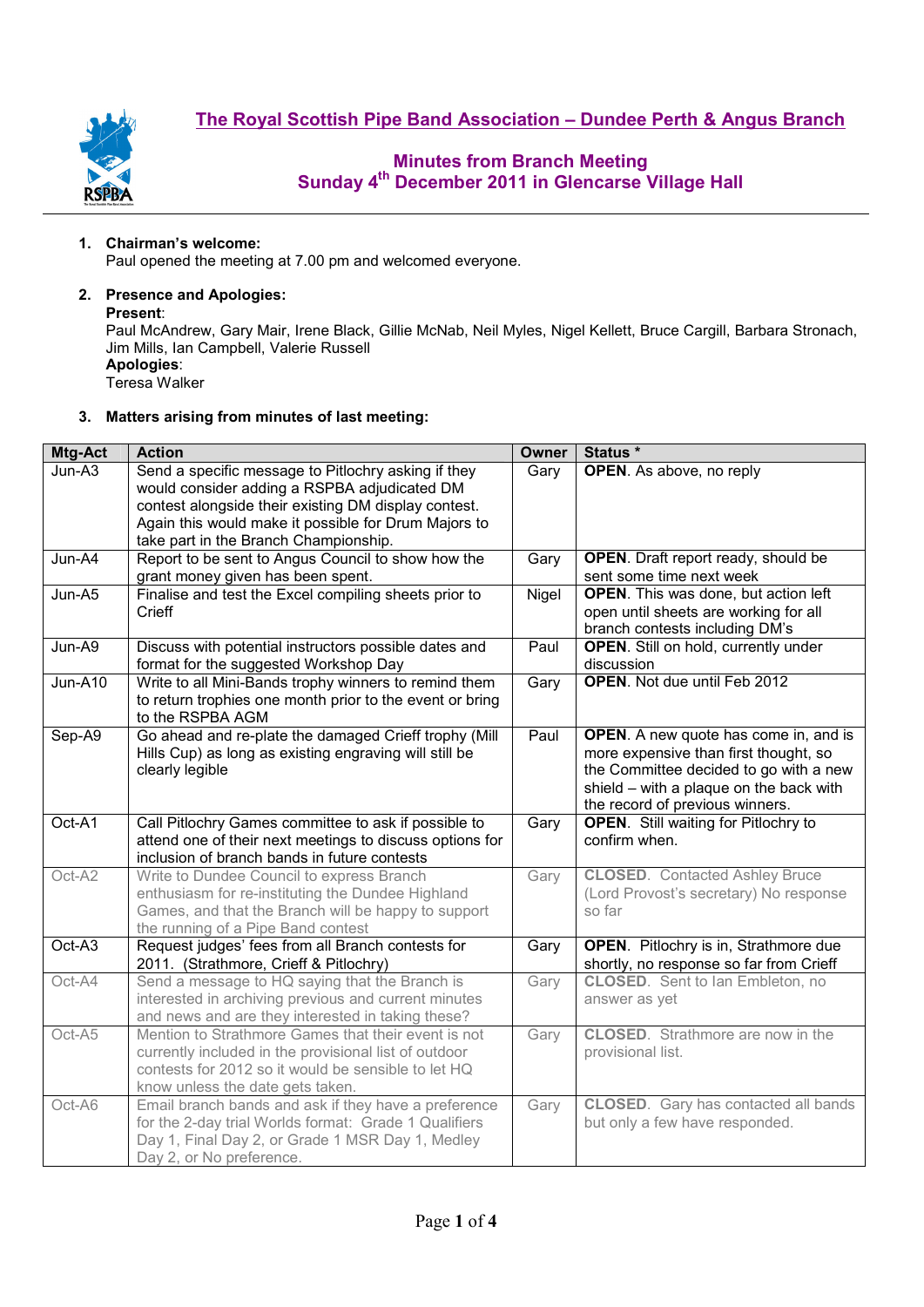

### **1. Chairman's welcome:**

Paul opened the meeting at 7.00 pm and welcomed everyone.

### **2. Presence and Apologies:**

#### **Present**:

Paul McAndrew, Gary Mair, Irene Black, Gillie McNab, Neil Myles, Nigel Kellett, Bruce Cargill, Barbara Stronach, Jim Mills, Ian Campbell, Valerie Russell **Apologies**:

Teresa Walker

### **3. Matters arising from minutes of last meeting:**

| Mtg-Act | <b>Action</b>                                                                                                                                                                                           | <b>Owner</b> | Status *                                                                                                                                                                                                      |  |  |  |
|---------|---------------------------------------------------------------------------------------------------------------------------------------------------------------------------------------------------------|--------------|---------------------------------------------------------------------------------------------------------------------------------------------------------------------------------------------------------------|--|--|--|
| Jun-A3  | Send a specific message to Pitlochry asking if they<br>would consider adding a RSPBA adjudicated DM                                                                                                     | Gary         | OPEN. As above, no reply                                                                                                                                                                                      |  |  |  |
|         | contest alongside their existing DM display contest.<br>Again this would make it possible for Drum Majors to<br>take part in the Branch Championship.                                                   |              |                                                                                                                                                                                                               |  |  |  |
| Jun-A4  | Report to be sent to Angus Council to show how the<br>grant money given has been spent.                                                                                                                 | Gary         | <b>OPEN</b> . Draft report ready, should be<br>sent some time next week                                                                                                                                       |  |  |  |
| Jun-A5  | Finalise and test the Excel compiling sheets prior to<br>Crieff                                                                                                                                         | Nigel        | <b>OPEN.</b> This was done, but action left<br>open until sheets are working for all<br>branch contests including DM's                                                                                        |  |  |  |
| Jun-A9  | Discuss with potential instructors possible dates and<br>format for the suggested Workshop Day                                                                                                          | Paul         | <b>OPEN.</b> Still on hold, currently under<br>discussion                                                                                                                                                     |  |  |  |
| Jun-A10 | Write to all Mini-Bands trophy winners to remind them<br>to return trophies one month prior to the event or bring<br>to the RSPBA AGM                                                                   | Gary         | <b>OPEN.</b> Not due until Feb 2012                                                                                                                                                                           |  |  |  |
| Sep-A9  | Go ahead and re-plate the damaged Crieff trophy (Mill<br>Hills Cup) as long as existing engraving will still be<br>clearly legible                                                                      | Paul         | <b>OPEN.</b> A new quote has come in, and is<br>more expensive than first thought, so<br>the Committee decided to go with a new<br>shield - with a plaque on the back with<br>the record of previous winners. |  |  |  |
| Oct-A1  | Call Pitlochry Games committee to ask if possible to<br>attend one of their next meetings to discuss options for<br>inclusion of branch bands in future contests                                        | Gary         | <b>OPEN.</b> Still waiting for Pitlochry to<br>confirm when.                                                                                                                                                  |  |  |  |
| Oct-A2  | Write to Dundee Council to express Branch<br>enthusiasm for re-instituting the Dundee Highland<br>Games, and that the Branch will be happy to support<br>the running of a Pipe Band contest             | Gary         | <b>CLOSED.</b> Contacted Ashley Bruce<br>(Lord Provost's secretary) No response<br>so far                                                                                                                     |  |  |  |
| Oct-A3  | Request judges' fees from all Branch contests for<br>2011. (Strathmore, Crieff & Pitlochry)                                                                                                             | Gary         | <b>OPEN.</b> Pitlochry is in, Strathmore due<br>shortly, no response so far from Crieff                                                                                                                       |  |  |  |
| Oct-A4  | Send a message to HQ saying that the Branch is<br>interested in archiving previous and current minutes<br>and news and are they interested in taking these?                                             | Gary         | <b>CLOSED.</b> Sent to Ian Embleton, no<br>answer as yet                                                                                                                                                      |  |  |  |
| Oct-A5  | Mention to Strathmore Games that their event is not<br>currently included in the provisional list of outdoor<br>contests for 2012 so it would be sensible to let HQ<br>know unless the date gets taken. | Gary         | <b>CLOSED.</b> Strathmore are now in the<br>provisional list.                                                                                                                                                 |  |  |  |
| Oct-A6  | Email branch bands and ask if they have a preference<br>for the 2-day trial Worlds format: Grade 1 Qualifiers<br>Day 1, Final Day 2, or Grade 1 MSR Day 1, Medley<br>Day 2, or No preference.           | Gary         | <b>CLOSED.</b> Gary has contacted all bands<br>but only a few have responded.                                                                                                                                 |  |  |  |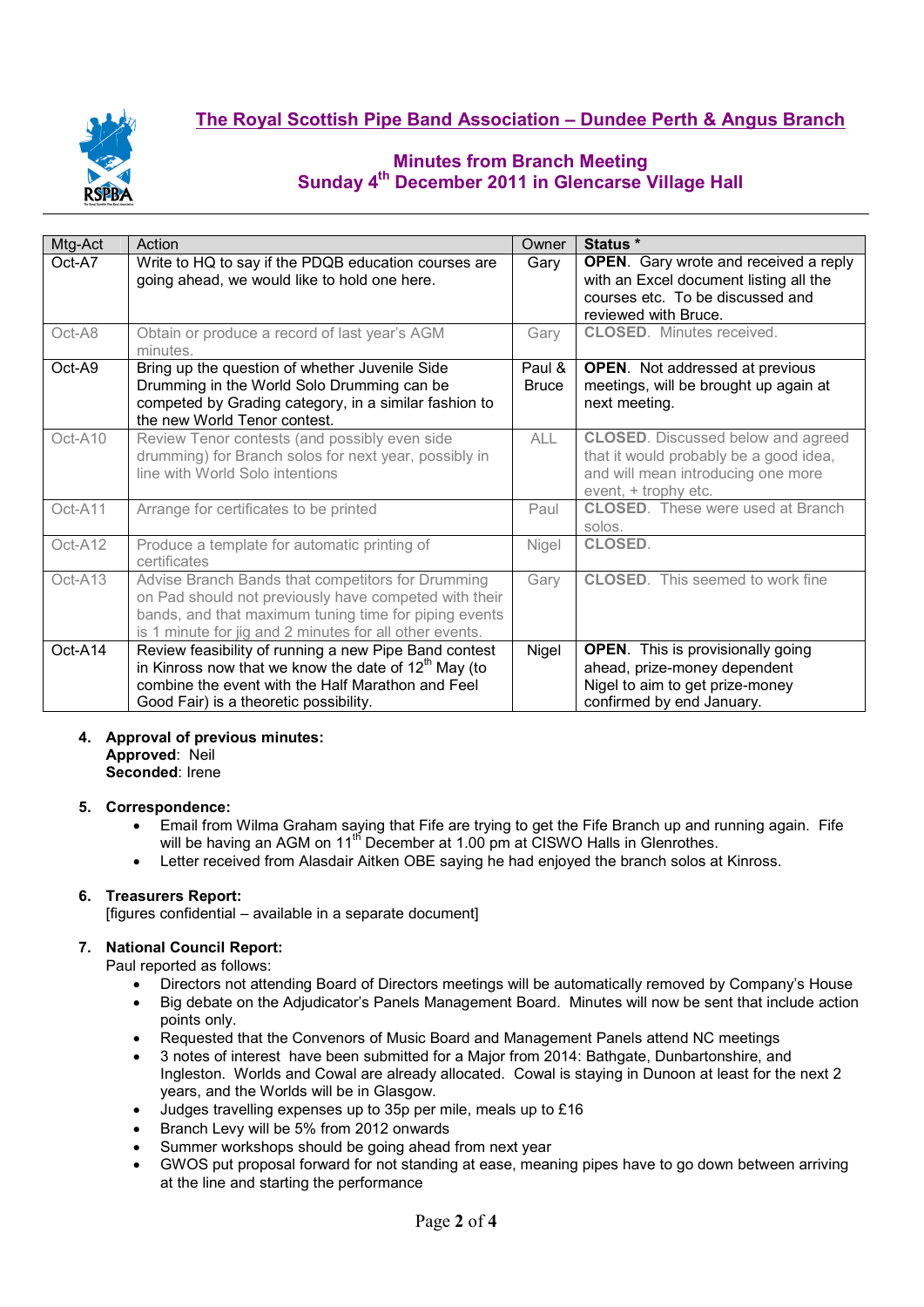

| Action                                                                                                                                                                                                                         | Owner                                                                                                                                                                                                                                                           | Status *                                                                                                                                           |  |  |  |
|--------------------------------------------------------------------------------------------------------------------------------------------------------------------------------------------------------------------------------|-----------------------------------------------------------------------------------------------------------------------------------------------------------------------------------------------------------------------------------------------------------------|----------------------------------------------------------------------------------------------------------------------------------------------------|--|--|--|
| Write to HQ to say if the PDQB education courses are<br>going ahead, we would like to hold one here.                                                                                                                           | Gary                                                                                                                                                                                                                                                            | <b>OPEN.</b> Gary wrote and received a reply<br>with an Excel document listing all the<br>courses etc. To be discussed and<br>reviewed with Bruce. |  |  |  |
| minutes.                                                                                                                                                                                                                       |                                                                                                                                                                                                                                                                 | <b>CLOSED.</b> Minutes received.                                                                                                                   |  |  |  |
| Bring up the question of whether Juvenile Side<br>Drumming in the World Solo Drumming can be<br>competed by Grading category, in a similar fashion to<br>the new World Tenor contest.                                          | Paul &<br><b>Bruce</b>                                                                                                                                                                                                                                          | <b>OPEN.</b> Not addressed at previous<br>meetings, will be brought up again at<br>next meeting.                                                   |  |  |  |
| Review Tenor contests (and possibly even side<br>drumming) for Branch solos for next year, possibly in<br>line with World Solo intentions                                                                                      | <b>ALL</b>                                                                                                                                                                                                                                                      | <b>CLOSED.</b> Discussed below and agreed<br>that it would probably be a good idea,<br>and will mean introducing one more<br>event, + trophy etc.  |  |  |  |
| Arrange for certificates to be printed                                                                                                                                                                                         | Paul                                                                                                                                                                                                                                                            | <b>CLOSED.</b> These were used at Branch<br>solos.                                                                                                 |  |  |  |
| Produce a template for automatic printing of<br>certificates                                                                                                                                                                   | Nigel                                                                                                                                                                                                                                                           | <b>CLOSED.</b>                                                                                                                                     |  |  |  |
| Advise Branch Bands that competitors for Drumming<br>on Pad should not previously have competed with their<br>bands, and that maximum tuning time for piping events<br>is 1 minute for jig and 2 minutes for all other events. | Gary                                                                                                                                                                                                                                                            | <b>CLOSED.</b> This seemed to work fine                                                                                                            |  |  |  |
|                                                                                                                                                                                                                                | Nigel                                                                                                                                                                                                                                                           | <b>OPEN.</b> This is provisionally going                                                                                                           |  |  |  |
|                                                                                                                                                                                                                                |                                                                                                                                                                                                                                                                 | ahead, prize-money dependent                                                                                                                       |  |  |  |
|                                                                                                                                                                                                                                |                                                                                                                                                                                                                                                                 | Nigel to aim to get prize-money<br>confirmed by end January.                                                                                       |  |  |  |
|                                                                                                                                                                                                                                | Obtain or produce a record of last year's AGM<br>Review feasibility of running a new Pipe Band contest<br>in Kinross now that we know the date of $12th$ May (to<br>combine the event with the Half Marathon and Feel<br>Good Fair) is a theoretic possibility. | Gary                                                                                                                                               |  |  |  |

# **4. Approval of previous minutes: Approved**: Neil

**Seconded**: Irene

## **5. Correspondence:**

- Email from Wilma Graham saying that Fife are trying to get the Fife Branch up and running again. Fife will be having an AGM on 11<sup>th</sup> December at 1.00 pm at CISWO Halls in Glenrothes.
- Letter received from Alasdair Aitken OBE saying he had enjoyed the branch solos at Kinross.

## **6. Treasurers Report:**

[figures confidential – available in a separate document]

## **7. National Council Report:**

Paul reported as follows:

- Directors not attending Board of Directors meetings will be automatically removed by Company's House
- Big debate on the Adjudicator's Panels Management Board. Minutes will now be sent that include action points only.
- Requested that the Convenors of Music Board and Management Panels attend NC meetings
- 3 notes of interest have been submitted for a Major from 2014: Bathgate, Dunbartonshire, and Ingleston. Worlds and Cowal are already allocated. Cowal is staying in Dunoon at least for the next 2 years, and the Worlds will be in Glasgow.
- Judges travelling expenses up to 35p per mile, meals up to £16
- Branch Levy will be 5% from 2012 onwards
- Summer workshops should be going ahead from next year
- GWOS put proposal forward for not standing at ease, meaning pipes have to go down between arriving at the line and starting the performance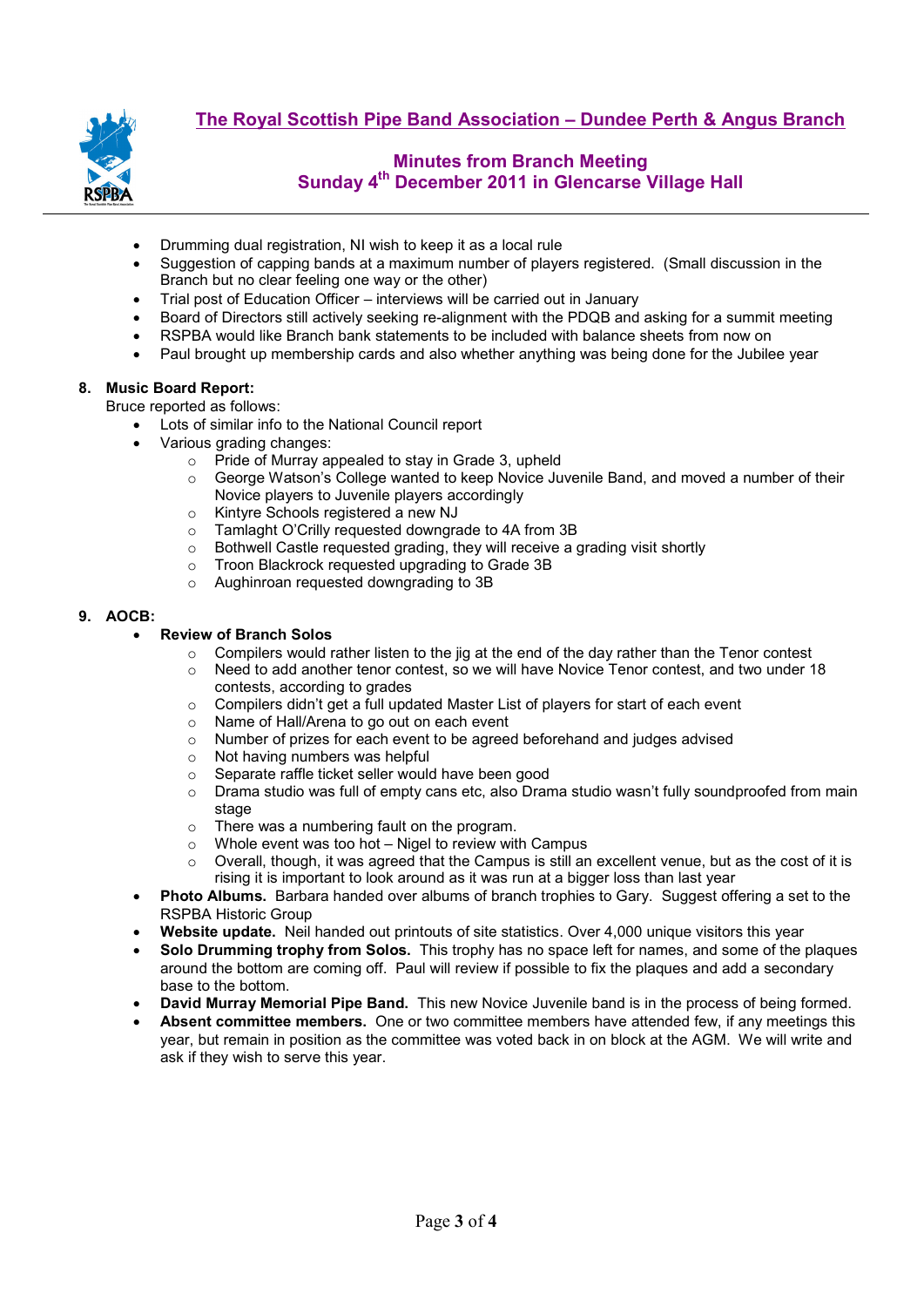

- Drumming dual registration, NI wish to keep it as a local rule
- Suggestion of capping bands at a maximum number of players registered. (Small discussion in the Branch but no clear feeling one way or the other)
- Trial post of Education Officer interviews will be carried out in January
- Board of Directors still actively seeking re-alignment with the PDQB and asking for a summit meeting
- RSPBA would like Branch bank statements to be included with balance sheets from now on
- Paul brought up membership cards and also whether anything was being done for the Jubilee year

## **8. Music Board Report:**

Bruce reported as follows:

- Lots of similar info to the National Council report
- Various grading changes:
	- o Pride of Murray appealed to stay in Grade 3, upheld
	- $\circ$  George Watson's College wanted to keep Novice Juvenile Band, and moved a number of their Novice players to Juvenile players accordingly
	- o Kintyre Schools registered a new NJ<br>
	o Tamlaght O'Crilly requested downara
	-
	- o Tamlaght O'Crilly requested downgrade to 4A from 3B<br>
	o Bothwell Castle requested grading, they will receive a  $\circ$  Bothwell Castle requested grading, they will receive a grading visit shortly  $\circ$  Troon Blackrock requested upgrading to Grade 3B
	- $\circ$  Troon Blackrock requested upgrading to Grade 3B  $\circ$  Aughinroan requested downarading to 3B
	- Aughinroan requested downgrading to 3B

### **9. AOCB:**

### • **Review of Branch Solos**

- $\circ$  Compilers would rather listen to the jig at the end of the day rather than the Tenor contest  $\circ$  Need to add another tenor contest. so we will have Novice Tenor contest, and two under 1
- Need to add another tenor contest, so we will have Novice Tenor contest, and two under 18 contests, according to grades
- $\circ$  Compilers didn't get a full updated Master List of players for start of each event  $\circ$  Name of Hall/Arena to go out on each event
- Name of Hall/Arena to go out on each event
- o Number of prizes for each event to be agreed beforehand and judges advised
- o Not having numbers was helpful
- 
- o Separate raffle ticket seller would have been good<br>○ Drama studio was full of empty cans etc. also Dran Drama studio was full of empty cans etc, also Drama studio wasn't fully soundproofed from main stage
- $\circ$  There was a numbering fault on the program.<br> $\circ$  Whole event was too hot Nigel to review with
- Whole event was too hot  $-$  Nigel to review with Campus
- $\circ$  Overall, though, it was agreed that the Campus is still an excellent venue, but as the cost of it is rising it is important to look around as it was run at a bigger loss than last year
- **Photo Albums.** Barbara handed over albums of branch trophies to Gary.Suggest offering a set to the RSPBA Historic Group
- **Website update.** Neil handed out printouts of site statistics. Over 4,000 unique visitors this year
- **Solo Drumming trophy from Solos.** This trophy has no space left for names, and some of the plaques around the bottom are coming off. Paul will review if possible to fix the plaques and add a secondary base to the bottom.
- **David Murray Memorial Pipe Band.** This new Novice Juvenile band is in the process of being formed.
- **Absent committee members.** One or two committee members have attended few, if any meetings this year, but remain in position as the committee was voted back in on block at the AGM. We will write and ask if they wish to serve this year.